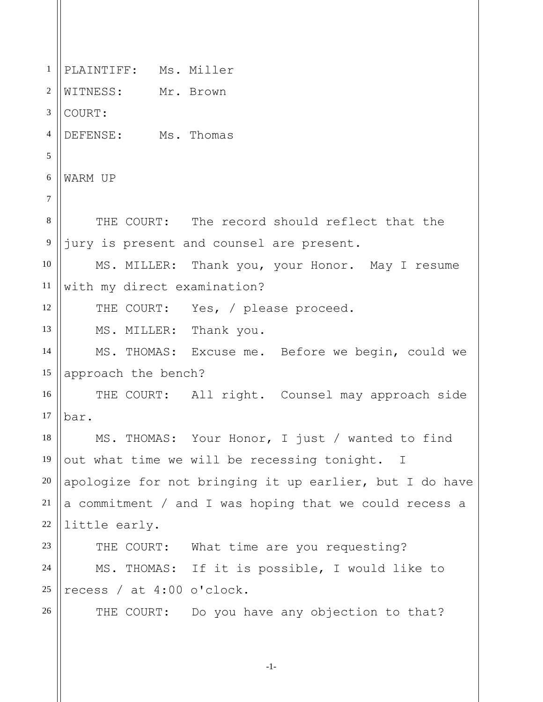1 2 3 4 5 6 7 8 9 10 11 12 13 14 15 16 17 18 19 20 21 22 23 24 25 26 PLAINTIFF: Ms. Miller WITNESS: Mr. Brown COURT: DEFENSE: Ms. Thomas WARM UP THE COURT: The record should reflect that the jury is present and counsel are present. MS. MILLER: Thank you, your Honor. May I resume with my direct examination? THE COURT: Yes, / please proceed. MS. MILLER: Thank you. MS. THOMAS: Excuse me. Before we begin, could we approach the bench? THE COURT: All right. Counsel may approach side bar. MS. THOMAS: Your Honor, I just / wanted to find out what time we will be recessing tonight. I apologize for not bringing it up earlier, but I do have a commitment / and I was hoping that we could recess a little early. THE COURT: What time are you requesting? MS. THOMAS: If it is possible, I would like to recess / at 4:00 o'clock. THE COURT: Do you have any objection to that?

-1-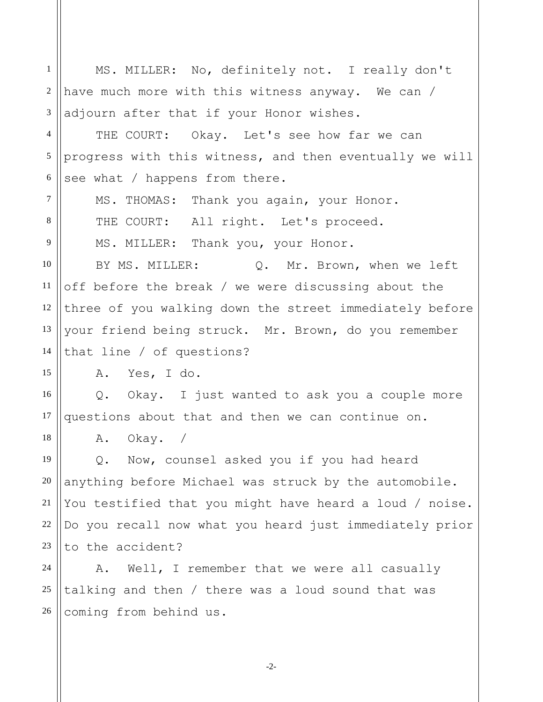1 2 3 4 5 6 7 8 9 10 11 12 13 14 15 16 17 18 19 20 21 22 23 24 25 26 MS. MILLER: No, definitely not. I really don't have much more with this witness anyway. We can / adjourn after that if your Honor wishes. THE COURT: Okay. Let's see how far we can progress with this witness, and then eventually we will see what / happens from there. MS. THOMAS: Thank you again, your Honor. THE COURT: All right. Let's proceed. MS. MILLER: Thank you, your Honor. BY MS. MILLER: Q. Mr. Brown, when we left off before the break / we were discussing about the three of you walking down the street immediately before your friend being struck. Mr. Brown, do you remember that line / of questions? A. Yes, I do. Q. Okay. I just wanted to ask you a couple more questions about that and then we can continue on. A. Okay. / Q. Now, counsel asked you if you had heard anything before Michael was struck by the automobile. You testified that you might have heard a loud / noise. Do you recall now what you heard just immediately prior to the accident? A. Well, I remember that we were all casually talking and then / there was a loud sound that was coming from behind us.

-2-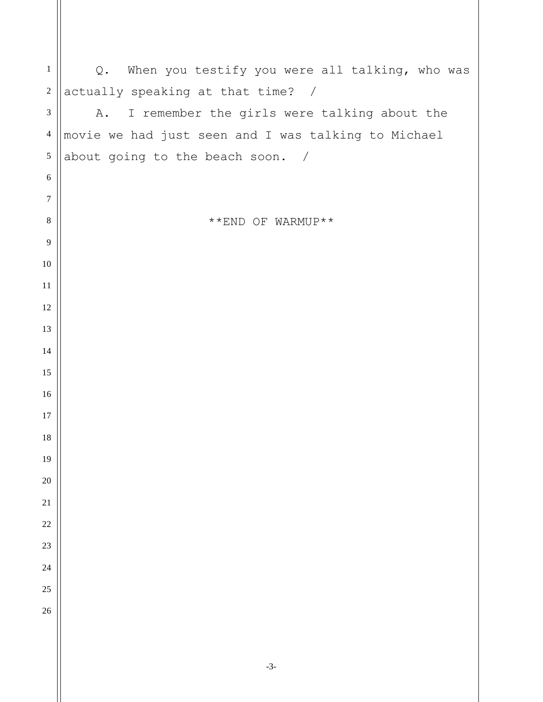| $\mathbf{1}$     | Q. When you testify you were all talking, who was   |
|------------------|-----------------------------------------------------|
| $\sqrt{2}$       | actually speaking at that time? /                   |
| $\mathfrak{Z}$   | I remember the girls were talking about the<br>Α.   |
| $\overline{4}$   | movie we had just seen and I was talking to Michael |
| $\sqrt{5}$       | about going to the beach soon. /                    |
| $\sqrt{6}$       |                                                     |
| $\boldsymbol{7}$ |                                                     |
| $\,8\,$          | **END OF WARMUP**                                   |
| $\overline{9}$   |                                                     |
| $10\,$           |                                                     |
| $11\,$           |                                                     |
| 12               |                                                     |
| 13               |                                                     |
| 14               |                                                     |
| 15               |                                                     |
| 16               |                                                     |
| $17\,$           |                                                     |
| 18               |                                                     |
| 19               |                                                     |
| $20\,$           |                                                     |
| $21\,$           |                                                     |
| $22\,$           |                                                     |
| 23               |                                                     |
| 24               |                                                     |
| 25               |                                                     |
| 26               |                                                     |
|                  |                                                     |
|                  |                                                     |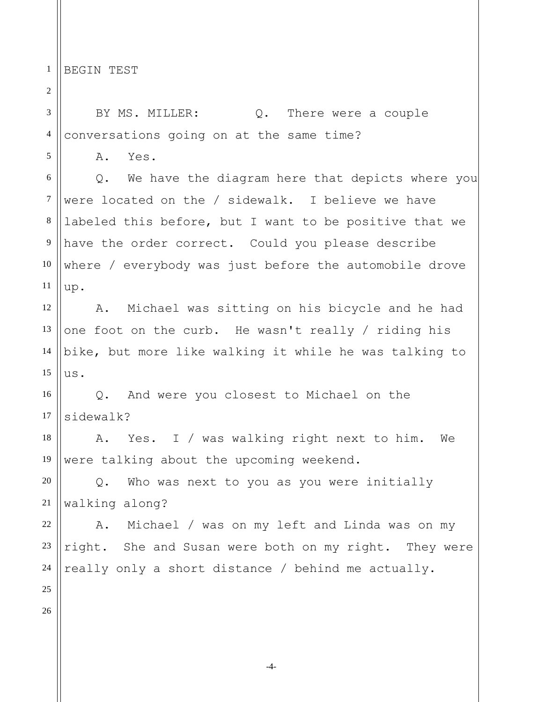1 BEGIN TEST

2

3 4 5 6 7 8 9 10 11 12 13 14 15 16 17 18 19 20 21 22 23 24 25 26 BY MS. MILLER:  $Q$ . There were a couple conversations going on at the same time? A. Yes. Q. We have the diagram here that depicts where you were located on the / sidewalk. I believe we have labeled this before, but I want to be positive that we have the order correct. Could you please describe where / everybody was just before the automobile drove up. A. Michael was sitting on his bicycle and he had one foot on the curb. He wasn't really / riding his bike, but more like walking it while he was talking to us. Q. And were you closest to Michael on the sidewalk? A. Yes. I / was walking right next to him. We were talking about the upcoming weekend. Q. Who was next to you as you were initially walking along? A. Michael / was on my left and Linda was on my right. She and Susan were both on my right. They were really only a short distance / behind me actually.

-4-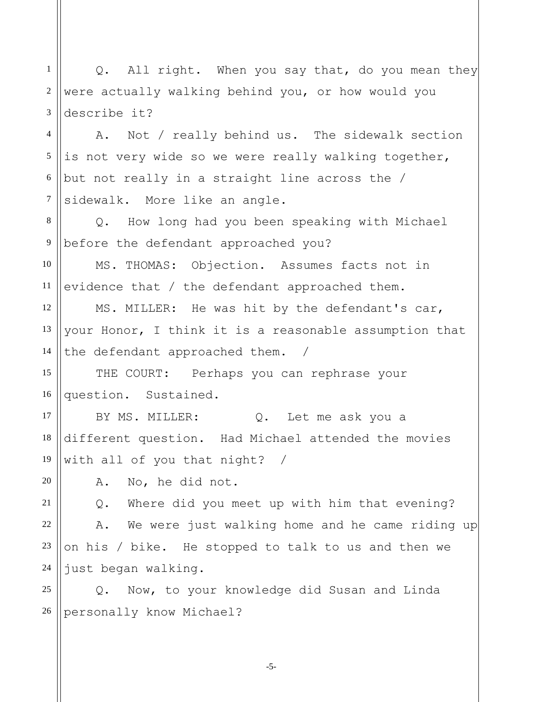1 2 3 Q. All right. When you say that, do you mean they were actually walking behind you, or how would you describe it?

4 5 6 7 A. Not / really behind us. The sidewalk section is not very wide so we were really walking together, but not really in a straight line across the / sidewalk. More like an angle.

8 9 Q. How long had you been speaking with Michael before the defendant approached you?

10 11 MS. THOMAS: Objection. Assumes facts not in evidence that / the defendant approached them.

12 13 14 MS. MILLER: He was hit by the defendant's car, your Honor, I think it is a reasonable assumption that the defendant approached them. /

15 16 THE COURT: Perhaps you can rephrase your question. Sustained.

BY MS. MILLER: Q. Let me ask you a different question. Had Michael attended the movies with all of you that night? /

A. No, he did not.

17

18

19

20

21

22 23 24 Q. Where did you meet up with him that evening? A. We were just walking home and he came riding up on his / bike. He stopped to talk to us and then we just began walking.

25 26 Q. Now, to your knowledge did Susan and Linda personally know Michael?

-5-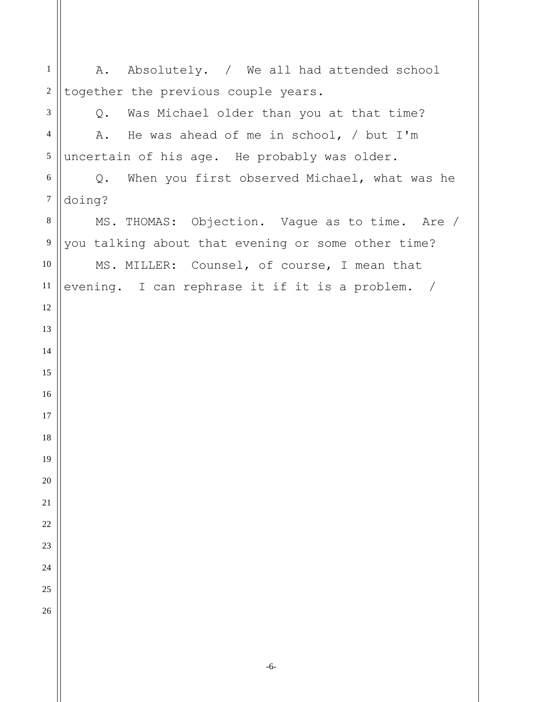A. Absolutely. / We all had attended school together the previous couple years. Q. Was Michael older than you at that time? A. He was ahead of me in school, / but I'm uncertain of his age. He probably was older. Q. When you first observed Michael, what was he doing? MS. THOMAS: Objection. Vague as to time. Are / you talking about that evening or some other time? MS. MILLER: Counsel, of course, I mean that evening. I can rephrase it if it is a problem. /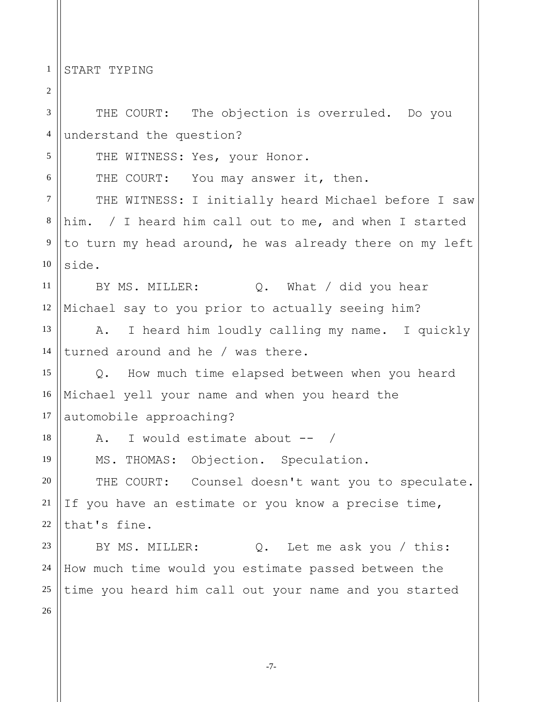1 START TYPING

2 3 4 5 6 7 8 9 10 11 12 13 14 15 16 17 18 19 20 21 22 23 24 25 26 THE COURT: The objection is overruled. Do you understand the question? THE WITNESS: Yes, your Honor. THE COURT: You may answer it, then. THE WITNESS: I initially heard Michael before I saw him. / I heard him call out to me, and when I started to turn my head around, he was already there on my left side. BY MS. MILLER:  $Q.$  What / did you hear Michael say to you prior to actually seeing him? A. I heard him loudly calling my name. I quickly turned around and he / was there. Q. How much time elapsed between when you heard Michael yell your name and when you heard the automobile approaching? A. I would estimate about -- / MS. THOMAS: Objection. Speculation. THE COURT: Counsel doesn't want you to speculate. If you have an estimate or you know a precise time, that's fine. BY MS. MILLER: Q. Let me ask you / this: How much time would you estimate passed between the time you heard him call out your name and you started

-7-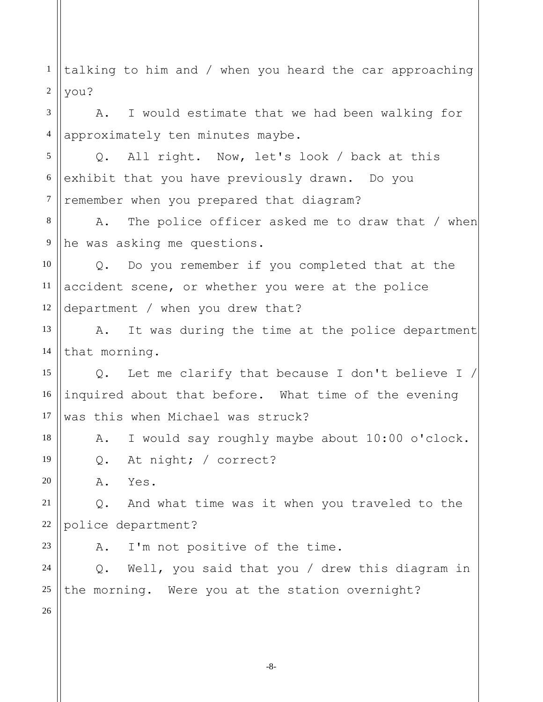1 2 3 4 5 6 7 8 9 10 11 12 13 14 15 16 17 18 19 20 21 22 23 24 25 26 talking to him and / when you heard the car approaching you? A. I would estimate that we had been walking for approximately ten minutes maybe. Q. All right. Now, let's look / back at this exhibit that you have previously drawn. Do you remember when you prepared that diagram? A. The police officer asked me to draw that / when he was asking me questions. Q. Do you remember if you completed that at the accident scene, or whether you were at the police department / when you drew that? A. It was during the time at the police department that morning. Q. Let me clarify that because I don't believe I / inquired about that before. What time of the evening was this when Michael was struck? A. I would say roughly maybe about 10:00 o'clock. Q. At night; / correct? A. Yes. Q. And what time was it when you traveled to the police department? A. I'm not positive of the time. Q. Well, you said that you / drew this diagram in the morning. Were you at the station overnight?

-8-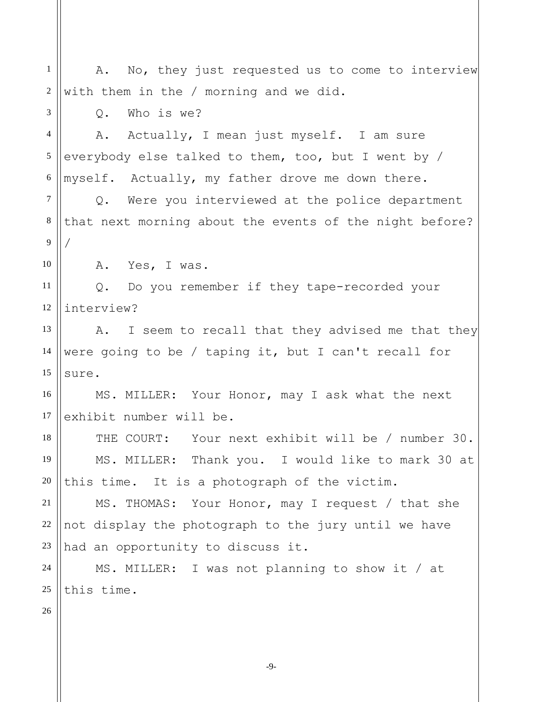| $\mathbf{1}$   | A. No, they just requested us to come to interview      |
|----------------|---------------------------------------------------------|
| 2              | with them in the / morning and we did.                  |
| 3              | Who is we?<br>$Q$ .                                     |
| $\overline{4}$ | A. Actually, I mean just myself. I am sure              |
| $\mathfrak{S}$ | everybody else talked to them, too, but I went by /     |
| $\sqrt{6}$     | myself. Actually, my father drove me down there.        |
| $\overline{7}$ | Q. Were you interviewed at the police department        |
| $\,8\,$        | that next morning about the events of the night before? |
| 9              |                                                         |
| 10             | A. Yes, I was.                                          |
| 11             | Q. Do you remember if they tape-recorded your           |
| 12             | interview?                                              |
| 13             | I seem to recall that they advised me that they<br>Α.   |
| 14             | were going to be / taping it, but I can't recall for    |
| 15             | sure.                                                   |
| 16             | MS. MILLER: Your Honor, may I ask what the next         |
| 17             | exhibit number will be.                                 |
| 18             | THE COURT: Your next exhibit will be / number 30.       |
| 19             | MS. MILLER: Thank you. I would like to mark 30 at       |
| 20             | this time. It is a photograph of the victim.            |
| 21             | MS. THOMAS: Your Honor, may I request / that she        |
| 22             | not display the photograph to the jury until we have    |
| 23             | had an opportunity to discuss it.                       |
| 24             |                                                         |
|                | MS. MILLER: I was not planning to show it / at          |
|                |                                                         |
| 25<br>26       | this time.                                              |

-9-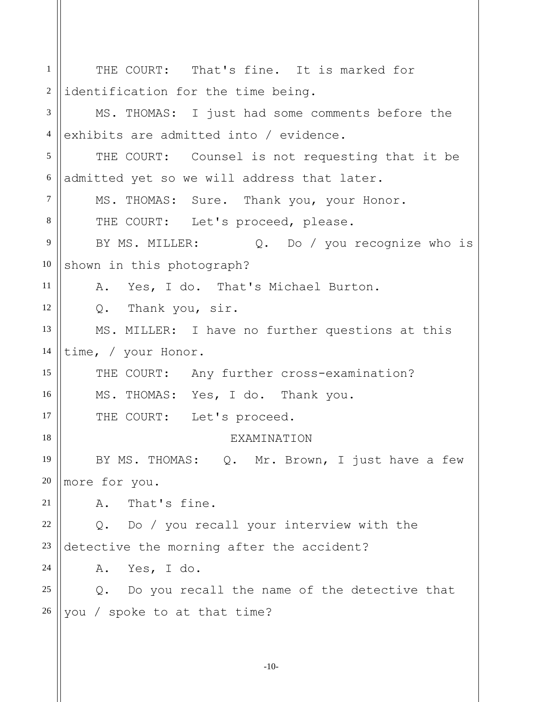1 2 3 4 5 6 7 8 9 10 11 12 13 14 15 16 17 18 19 20 21 22 23 24 25 26 THE COURT: That's fine. It is marked for identification for the time being. MS. THOMAS: I just had some comments before the exhibits are admitted into / evidence. THE COURT: Counsel is not requesting that it be admitted yet so we will address that later. MS. THOMAS: Sure. Thank you, your Honor. THE COURT: Let's proceed, please. BY MS. MILLER: Q. Do / you recognize who is shown in this photograph? A. Yes, I do. That's Michael Burton. Q. Thank you, sir. MS. MILLER: I have no further questions at this time, / your Honor. THE COURT: Any further cross-examination? MS. THOMAS: Yes, I do. Thank you. THE COURT: Let's proceed. EXAMINATION BY MS. THOMAS: Q. Mr. Brown, I just have a few more for you. A. That's fine. Q. Do / you recall your interview with the detective the morning after the accident? A. Yes, I do. Q. Do you recall the name of the detective that you / spoke to at that time?

-10-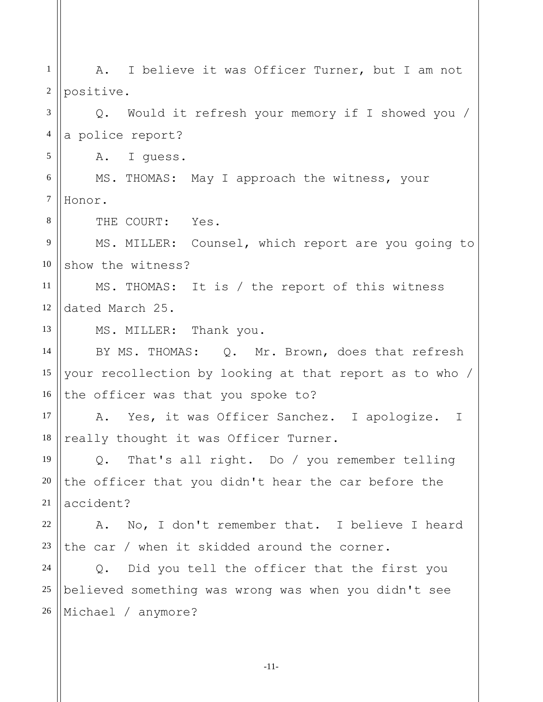1 2 3 4 5 6 7 8 9 10 11 12 13 14 15 16 17 18 19 20 21 22 23 24 25 26 A. I believe it was Officer Turner, but I am not positive. Q. Would it refresh your memory if I showed you / a police report? A. I guess. MS. THOMAS: May I approach the witness, your Honor. THE COURT: Yes. MS. MILLER: Counsel, which report are you going to show the witness? MS. THOMAS: It is / the report of this witness dated March 25. MS. MILLER: Thank you. BY MS. THOMAS: Q. Mr. Brown, does that refresh your recollection by looking at that report as to who / the officer was that you spoke to? A. Yes, it was Officer Sanchez. I apologize. I really thought it was Officer Turner. Q. That's all right. Do / you remember telling the officer that you didn't hear the car before the accident? A. No, I don't remember that. I believe I heard the car / when it skidded around the corner. Q. Did you tell the officer that the first you believed something was wrong was when you didn't see Michael / anymore?

-11-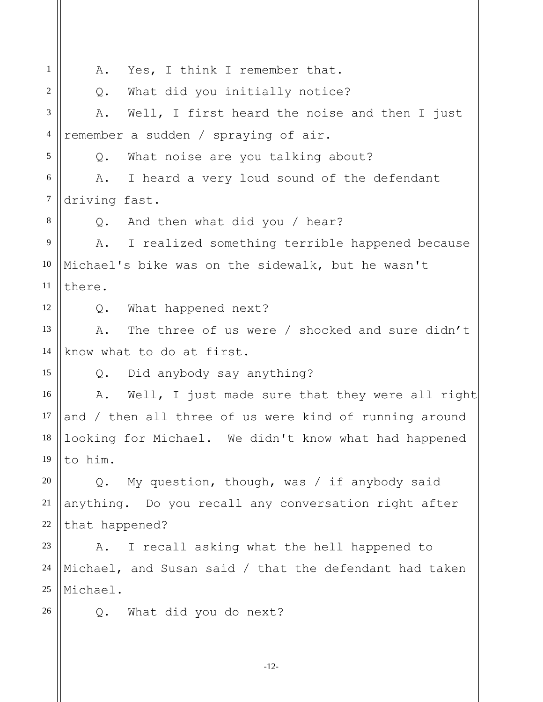1 2 3 4 5 6 7 8 9 10 11 12 13 14 15 16 17 18 19 20 21 22 23 24 25 26 A. Yes, I think I remember that. Q. What did you initially notice? A. Well, I first heard the noise and then I just remember a sudden / spraying of air. Q. What noise are you talking about? A. I heard a very loud sound of the defendant driving fast. Q. And then what did you / hear? A. I realized something terrible happened because Michael's bike was on the sidewalk, but he wasn't there. Q. What happened next? A. The three of us were / shocked and sure didn't know what to do at first. Q. Did anybody say anything? A. Well, I just made sure that they were all right and / then all three of us were kind of running around looking for Michael. We didn't know what had happened to him. Q. My question, though, was / if anybody said anything. Do you recall any conversation right after that happened? A. I recall asking what the hell happened to Michael, and Susan said / that the defendant had taken Michael. Q. What did you do next?

-12-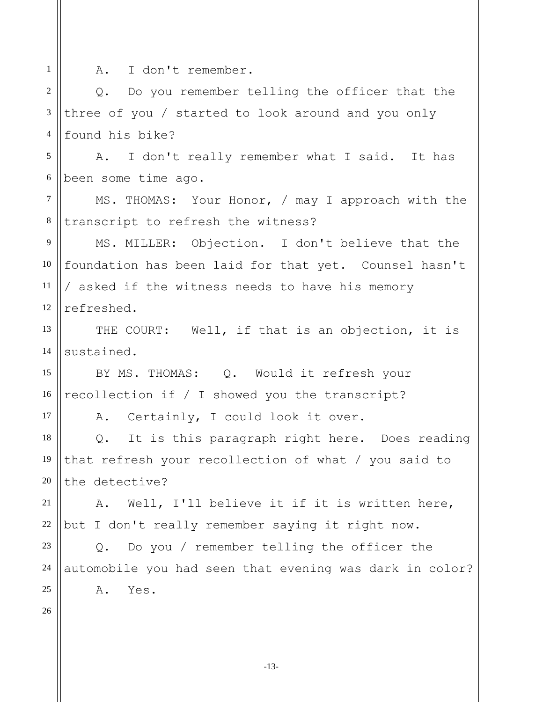1 2 3 4 5 6 7 8 9 10 11 12 13 14 15 16 17 18 A. I don't remember. Q. Do you remember telling the officer that the three of you / started to look around and you only found his bike? A. I don't really remember what I said. It has been some time ago. MS. THOMAS: Your Honor, / may I approach with the transcript to refresh the witness? MS. MILLER: Objection. I don't believe that the foundation has been laid for that yet. Counsel hasn't / asked if the witness needs to have his memory refreshed. THE COURT: Well, if that is an objection, it is sustained. BY MS. THOMAS: Q. Would it refresh your recollection if / I showed you the transcript? A. Certainly, I could look it over. Q. It is this paragraph right here. Does reading

19 20 that refresh your recollection of what / you said to the detective?

21 22 A. Well, I'll believe it if it is written here, but I don't really remember saying it right now.

Q. Do you / remember telling the officer the automobile you had seen that evening was dark in color? A. Yes.

26

23

24

25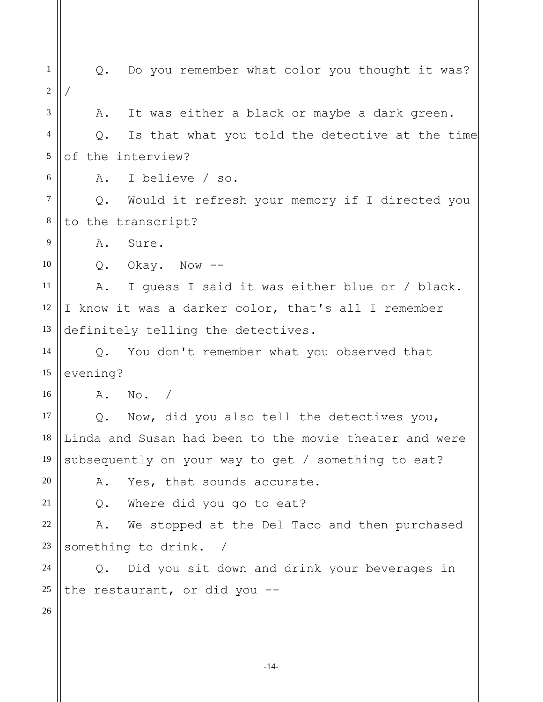1 2 3 4 5 6 7 8 9 10 11 12 13 14 15 16 17 18 19 20 21 22 23 24 25 26 Q. Do you remember what color you thought it was? / A. It was either a black or maybe a dark green. Q. Is that what you told the detective at the time of the interview? A. I believe / so. Q. Would it refresh your memory if I directed you to the transcript? A. Sure. Q. Okay. Now -- A. I guess I said it was either blue or / black. I know it was a darker color, that's all I remember definitely telling the detectives. Q. You don't remember what you observed that evening? A. No. / Q. Now, did you also tell the detectives you, Linda and Susan had been to the movie theater and were subsequently on your way to get / something to eat? A. Yes, that sounds accurate. Q. Where did you go to eat? A. We stopped at the Del Taco and then purchased something to drink. / Q. Did you sit down and drink your beverages in the restaurant, or did you --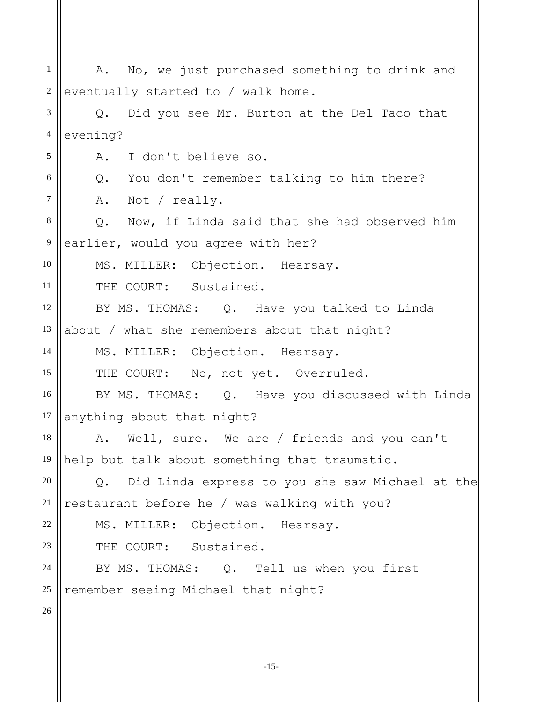1 2 3 4 5 6 7 8 9 10 11 12 13 14 15 16 17 18 19 20 21 22 23 24 25 26 A. No, we just purchased something to drink and eventually started to / walk home. Q. Did you see Mr. Burton at the Del Taco that evening? A. I don't believe so. Q. You don't remember talking to him there? A. Not / really. Q. Now, if Linda said that she had observed him earlier, would you agree with her? MS. MILLER: Objection. Hearsay. THE COURT: Sustained. BY MS. THOMAS: Q. Have you talked to Linda about / what she remembers about that night? MS. MILLER: Objection. Hearsay. THE COURT: No, not yet. Overruled. BY MS. THOMAS: Q. Have you discussed with Linda anything about that night? A. Well, sure. We are / friends and you can't help but talk about something that traumatic. Q. Did Linda express to you she saw Michael at the restaurant before he / was walking with you? MS. MILLER: Objection. Hearsay. THE COURT: Sustained. BY MS. THOMAS: Q. Tell us when you first remember seeing Michael that night?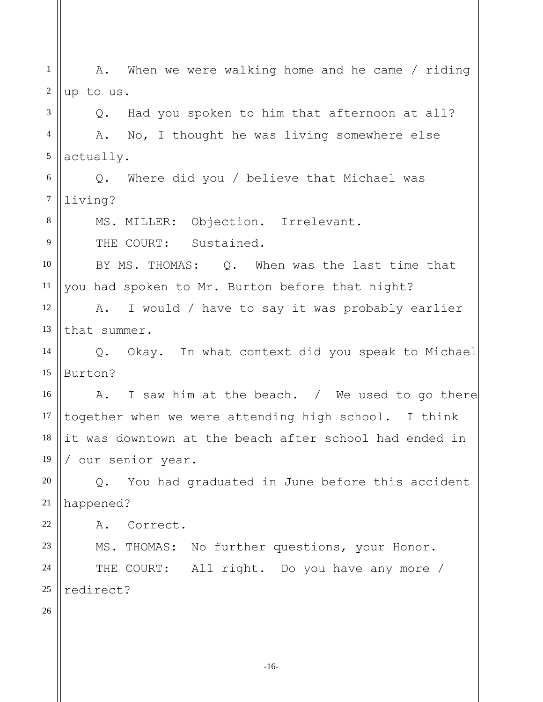1 2 3 A. When we were walking home and he came / riding up to us. Q. Had you spoken to him that afternoon at all?

4 5 A. No, I thought he was living somewhere else actually.

6 7 Q. Where did you / believe that Michael was living?

MS. MILLER: Objection. Irrelevant.

THE COURT: Sustained.

10 11 BY MS. THOMAS: 0. When was the last time that you had spoken to Mr. Burton before that night?

12 13 A. I would / have to say it was probably earlier that summer.

14 15 Q. Okay. In what context did you speak to Michael Burton?

16 17 18 19 A. I saw him at the beach. / We used to go there together when we were attending high school. I think it was downtown at the beach after school had ended in / our senior year.

20 21 Q. You had graduated in June before this accident happened?

A. Correct.

23 24 25 MS. THOMAS: No further questions, your Honor. THE COURT: All right. Do you have any more / redirect?

26

22

8

9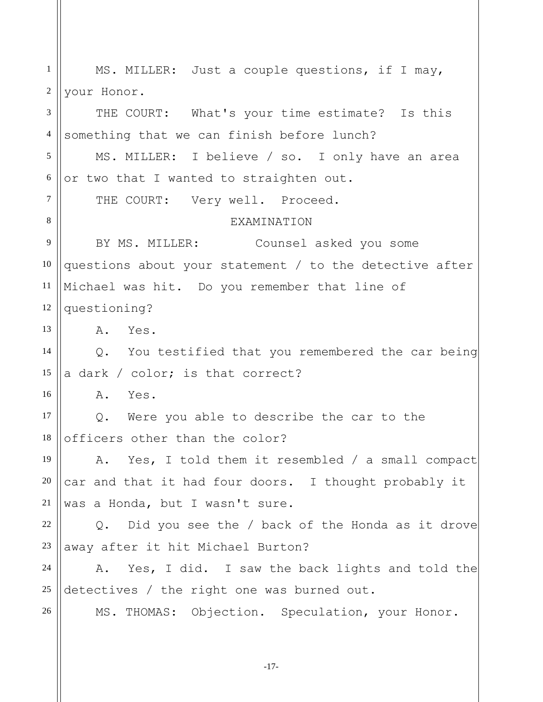| $\mathbf{1}$   | MS. MILLER: Just a couple questions, if I may,          |
|----------------|---------------------------------------------------------|
| $\sqrt{2}$     | your Honor.                                             |
| 3              | THE COURT: What's your time estimate? Is this           |
| $\overline{4}$ | something that we can finish before lunch?              |
| 5              | MS. MILLER: I believe / so. I only have an area         |
| 6              | or two that I wanted to straighten out.                 |
| $\tau$         | THE COURT: Very well. Proceed.                          |
| 8              | <b>EXAMINATION</b>                                      |
| 9              | BY MS. MILLER: Counsel asked you some                   |
| 10             | questions about your statement / to the detective after |
| 11             | Michael was hit. Do you remember that line of           |
| 12             | questioning?                                            |
| 13             | Α.<br>Yes.                                              |
| 14             | Q. You testified that you remembered the car being      |
| 15             | a dark / color; is that correct?                        |
| 16             | A. Yes.                                                 |
| 17             | Q. Were you able to describe the car to the             |
| 18             | officers other than the color?                          |
| 19             | A. Yes, I told them it resembled / a small compact      |
| $20\,$         | car and that it had four doors. I thought probably it   |
| 21             | was a Honda, but I wasn't sure.                         |
| 22             | Q. Did you see the / back of the Honda as it drove      |
| 23             | away after it hit Michael Burton?                       |
| 24             | A. Yes, I did. I saw the back lights and told the       |
| $25\,$         | detectives / the right one was burned out.              |
| $26\,$         | MS. THOMAS: Objection. Speculation, your Honor.         |

-17-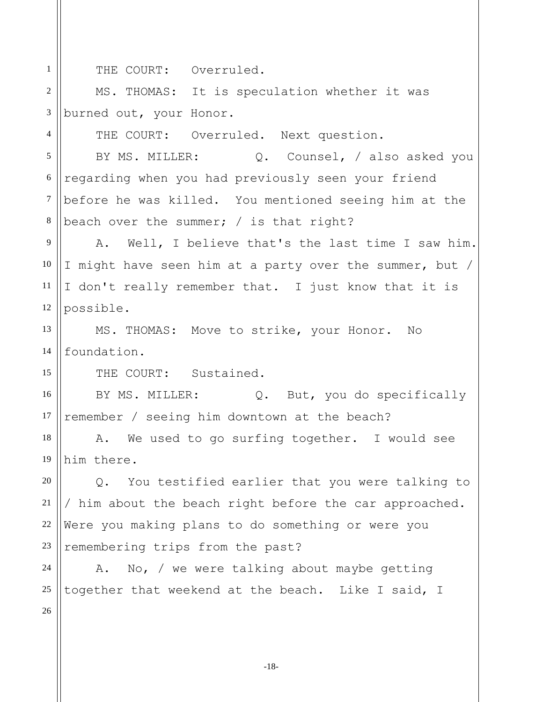THE COURT: Overruled.

2 3 MS. THOMAS: It is speculation whether it was burned out, your Honor.

THE COURT: Overruled. Next question.

5 6 7 8 BY MS. MILLER:  $Q.$  Counsel, / also asked you regarding when you had previously seen your friend before he was killed. You mentioned seeing him at the beach over the summer; / is that right?

9 12 A. Well, I believe that's the last time I saw him. I might have seen him at a party over the summer, but / I don't really remember that. I just know that it is possible.

13 14 MS. THOMAS: Move to strike, your Honor. No foundation.

THE COURT: Sustained.

16 17 BY MS. MILLER: Q. But, you do specifically remember / seeing him downtown at the beach?

18 19 A. We used to go surfing together. I would see him there.

20 21 22 23 Q. You testified earlier that you were talking to / him about the beach right before the car approached. Were you making plans to do something or were you remembering trips from the past?

24 25 A. No, / we were talking about maybe getting together that weekend at the beach. Like I said, I

26

1

4

10

11

15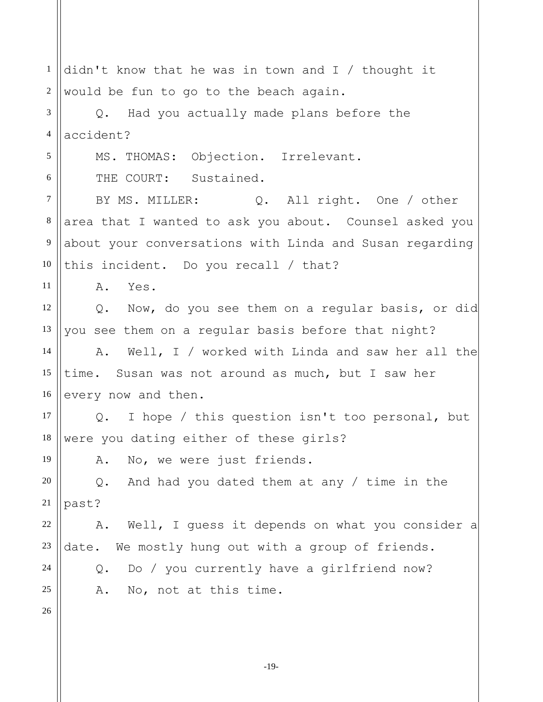1 2 3 4 5 6 7 8 9 10 11 12 13 14 15 16 17 18 19 20 21 22 23 24 25 26 didn't know that he was in town and I / thought it would be fun to go to the beach again. Q. Had you actually made plans before the accident? MS. THOMAS: Objection. Irrelevant. THE COURT: Sustained. BY MS. MILLER: Q. All right. One / other area that I wanted to ask you about. Counsel asked you about your conversations with Linda and Susan regarding this incident. Do you recall / that? A. Yes. Q. Now, do you see them on a regular basis, or did you see them on a regular basis before that night? A. Well, I / worked with Linda and saw her all the time. Susan was not around as much, but I saw her every now and then. Q. I hope / this question isn't too personal, but were you dating either of these girls? A. No, we were just friends. Q. And had you dated them at any / time in the past? A. Well, I guess it depends on what you consider a date. We mostly hung out with a group of friends. Q. Do / you currently have a girlfriend now? A. No, not at this time.